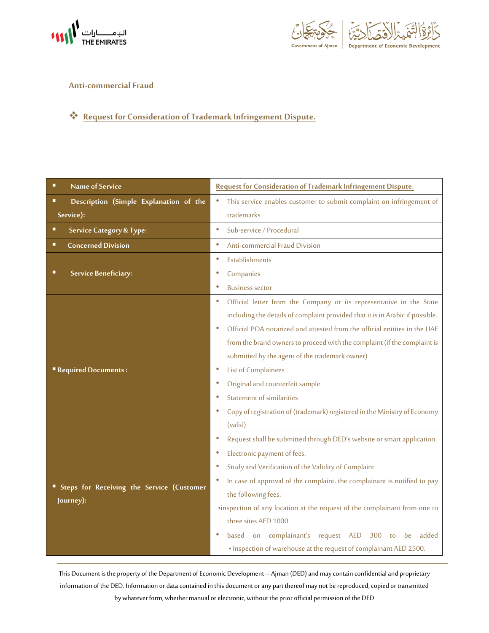



## **Anti-commercial Fraud**

## **Request for Consideration of Trademark Infringement Dispute.**

| <b>Name of Service</b><br>п                                   | Request for Consideration of Trademark Infringement Dispute.                           |
|---------------------------------------------------------------|----------------------------------------------------------------------------------------|
| Description (Simple Explanation of the<br>■                   | This service enables customer to submit complaint on infringement of<br>$\bullet$      |
| Service):                                                     | trademarks                                                                             |
| <b>Service Category &amp; Type:</b>                           | Sub-service / Procedural<br>۰                                                          |
| <b>Concerned Division</b><br>■                                | Anti-commercial Fraud Division<br>$\bullet$                                            |
|                                                               | Establishments<br>۰                                                                    |
| Service Beneficiary:                                          | Companies                                                                              |
|                                                               | <b>Business sector</b>                                                                 |
| <b>Required Documents:</b>                                    | Official letter from the Company or its representative in the State<br>$\bullet$       |
|                                                               | including the details of complaint provided that it is in Arabic if possible.          |
|                                                               | Official POA notarized and attested from the official entities in the UAE<br>$\bullet$ |
|                                                               | from the brand owners to proceed with the complaint (if the complaint is               |
|                                                               | submitted by the agent of the trademark owner)                                         |
|                                                               | List of Complainees                                                                    |
|                                                               | Original and counterfeit sample                                                        |
|                                                               | <b>Statement of similarities</b>                                                       |
|                                                               | Copy of registration of (trademark) registered in the Ministry of Economy              |
|                                                               | (valid)                                                                                |
|                                                               | Request shall be submitted through DED's website or smart application<br>۰             |
|                                                               | Electronic payment of fees.                                                            |
| <b>Steps for Receiving the Service (Customer</b><br>Journey): | Study and Verification of the Validity of Complaint                                    |
|                                                               | In case of approval of the complaint, the complainant is notified to pay               |
|                                                               | the following fees:                                                                    |
|                                                               | .inspection of any location at the request of the complainant from one to              |
|                                                               | three sites AED 1000                                                                   |
|                                                               | on complainant's request AED 300<br>be<br>added<br>based<br>to                         |
|                                                               | . Inspection of warehouse at the request of complainant AED 2500.                      |

This Document is the property of the Department of Economic Development – Ajman (DED) and may contain confidential and proprietary information of the DED. Information or data contained in this document or any part thereof may not be reproduced, copied or transmitted by whatever form, whether manual or electronic, without the prior official permission of the DED